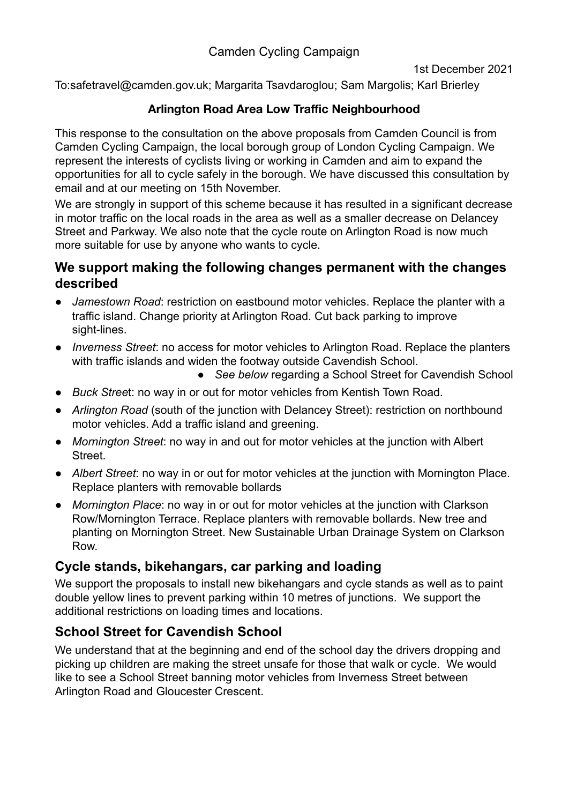### Camden Cycling Campaign

1st December 2021

To:safetravel@camden.gov.uk; Margarita Tsavdaroglou; Sam Margolis; Karl Brierley

### **Arlington Road Area Low Traffic Neighbourhood**

This response to the consultation on the above proposals from Camden Council is from Camden Cycling Campaign, the local borough group of London Cycling Campaign. We represent the interests of cyclists living or working in Camden and aim to expand the opportunities for all to cycle safely in the borough. We have discussed this consultation by email and at our meeting on 15th November.

We are strongly in support of this scheme because it has resulted in a significant decrease in motor traffic on the local roads in the area as well as a smaller decrease on Delancey Street and Parkway. We also note that the cycle route on Arlington Road is now much more suitable for use by anyone who wants to cycle.

### **We support making the following changes permanent with the changes described**

- *Jamestown Road*: restriction on eastbound motor vehicles. Replace the planter with a traffic island. Change priority at Arlington Road. Cut back parking to improve sight-lines.
- *Inverness Street*: no access for motor vehicles to Arlington Road. Replace the planters with traffic islands and widen the footway outside Cavendish School.
	- See below regarding a School Street for Cavendish School
- *Buck Stree*t: no way in or out for motor vehicles from Kentish Town Road.
- *Arlington Road* (south of the junction with Delancey Street): restriction on northbound motor vehicles. Add a traffic island and greening.
- *Mornington Street*: no way in and out for motor vehicles at the junction with Albert **Street**
- *Albert Street*: no way in or out for motor vehicles at the junction with Mornington Place. Replace planters with removable bollards
- *Mornington Place*: no way in or out for motor vehicles at the junction with Clarkson Row/Mornington Terrace. Replace planters with removable bollards. New tree and planting on Mornington Street. New Sustainable Urban Drainage System on Clarkson Row.

### **Cycle stands, bikehangars, car parking and loading**

We support the proposals to install new bikehangars and cycle stands as well as to paint double yellow lines to prevent parking within 10 metres of junctions. We support the additional restrictions on loading times and locations.

## **School Street for Cavendish School**

We understand that at the beginning and end of the school day the drivers dropping and picking up children are making the street unsafe for those that walk or cycle. We would like to see a School Street banning motor vehicles from Inverness Street between Arlington Road and Gloucester Crescent.